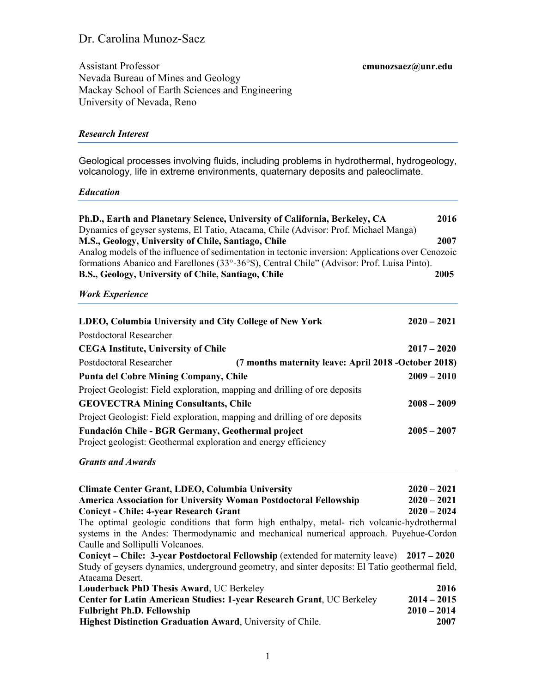# Dr. Carolina Munoz-Saez

Assistant Professor **cmunozsaez@unr.edu** Nevada Bureau of Mines and Geology Mackay School of Earth Sciences and Engineering University of Nevada, Reno

#### *Research Interest*

Geological processes involving fluids, including problems in hydrothermal, hydrogeology, volcanology, life in extreme environments, quaternary deposits and paleoclimate.

#### *Education*

| Ph.D., Earth and Planetary Science, University of California, Berkeley, CA                        | 2016 |  |
|---------------------------------------------------------------------------------------------------|------|--|
| Dynamics of geyser systems, El Tatio, Atacama, Chile (Advisor: Prof. Michael Manga)               |      |  |
| M.S., Geology, University of Chile, Santiago, Chile                                               | 2007 |  |
| Analog models of the influence of sedimentation in tectonic inversion: Applications over Cenozoic |      |  |
| formations Abanico and Farellones (33°-36°S), Central Chile" (Advisor: Prof. Luisa Pinto).        |      |  |
| B.S., Geology, University of Chile, Santiago, Chile                                               | 2005 |  |

### *Work Experience*

| LDEO, Columbia University and City College of New York                                                               |                                                       | $2020 - 2021$ |
|----------------------------------------------------------------------------------------------------------------------|-------------------------------------------------------|---------------|
| Postdoctoral Researcher                                                                                              |                                                       |               |
| <b>CEGA Institute, University of Chile</b>                                                                           |                                                       | $2017 - 2020$ |
| Postdoctoral Researcher                                                                                              | (7 months maternity leave: April 2018 - October 2018) |               |
| <b>Punta del Cobre Mining Company, Chile</b>                                                                         |                                                       | $2009 - 2010$ |
| Project Geologist: Field exploration, mapping and drilling of ore deposits                                           |                                                       |               |
| <b>GEOVECTRA Mining Consultants, Chile</b>                                                                           |                                                       | $2008 - 2009$ |
| Project Geologist: Field exploration, mapping and drilling of ore deposits                                           |                                                       |               |
| Fundación Chile - BGR Germany, Geothermal project<br>Project geologist: Geothermal exploration and energy efficiency |                                                       | $2005 - 2007$ |

## *Grants and Awards*

| <b>Climate Center Grant, LDEO, Columbia University</b>                                           | $2020 - 2021$ |
|--------------------------------------------------------------------------------------------------|---------------|
| <b>America Association for University Woman Postdoctoral Fellowship</b>                          | $2020 - 2021$ |
| <b>Conicyt - Chile: 4-year Research Grant</b>                                                    | $2020 - 2024$ |
| The optimal geologic conditions that form high enthalpy, metal- rich volcanic-hydrothermal       |               |
| systems in the Andes: Thermodynamic and mechanical numerical approach. Puyehue-Cordon            |               |
| Caulle and Sollipulli Volcanoes.                                                                 |               |
| Conicyt – Chile: 3-year Postdoctoral Fellowship (extended for maternity leave) 2017 – 2020       |               |
| Study of geysers dynamics, underground geometry, and sinter deposits: El Tatio geothermal field, |               |
| Atacama Desert.                                                                                  |               |
| Louderback PhD Thesis Award, UC Berkeley                                                         | 2016          |
| Center for Latin American Studies: 1-year Research Grant, UC Berkeley                            | $2014 - 2015$ |
| <b>Fulbright Ph.D. Fellowship</b>                                                                | $2010 - 2014$ |
| <b>Highest Distinction Graduation Award, University of Chile.</b>                                | 2007          |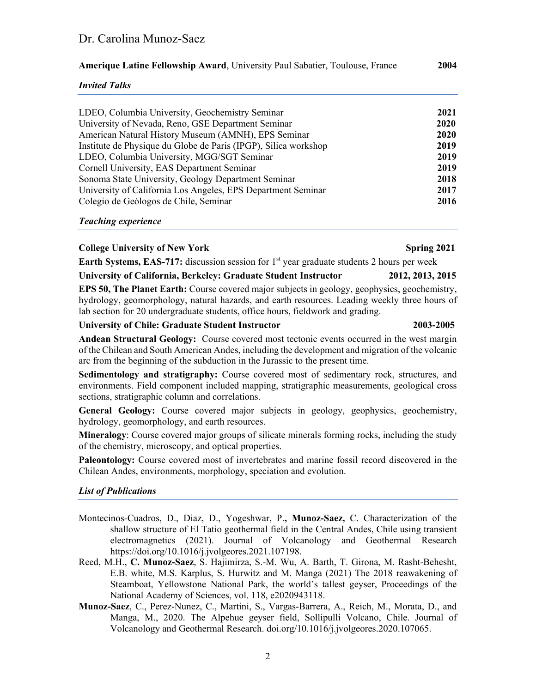# Dr. Carolina Munoz-Saez

**Amerique Latine Fellowship Award**, University Paul Sabatier, Toulouse, France **2004**

*Invited Talks*

| LDEO, Columbia University, Geochemistry Seminar                 | 2021        |
|-----------------------------------------------------------------|-------------|
| University of Nevada, Reno, GSE Department Seminar              | 2020        |
| American Natural History Museum (AMNH), EPS Seminar             | <b>2020</b> |
| Institute de Physique du Globe de Paris (IPGP), Silica workshop | 2019        |
| LDEO, Columbia University, MGG/SGT Seminar                      | 2019        |
| Cornell University, EAS Department Seminar                      | 2019        |
| Sonoma State University, Geology Department Seminar             | 2018        |
| University of California Los Angeles, EPS Department Seminar    | 2017        |
| Colegio de Geólogos de Chile, Seminar                           | 2016        |
|                                                                 |             |

#### *Teaching experience*

#### **College University of New York Spring 2021**

### **Earth Systems, EAS-717:** discussion session for 1<sup>st</sup> year graduate students 2 hours per week

#### **University of California, Berkeley: Graduate Student Instructor 2012, 2013, 2015**

**EPS 50, The Planet Earth:** Course covered major subjects in geology, geophysics, geochemistry, hydrology, geomorphology, natural hazards, and earth resources. Leading weekly three hours of lab section for 20 undergraduate students, office hours, fieldwork and grading.

#### **University of Chile: Graduate Student Instructor 2003-2005**

#### **Andean Structural Geology:** Course covered most tectonic events occurred in the west margin of the Chilean and South American Andes, including the development and migration of the volcanic arc from the beginning of the subduction in the Jurassic to the present time.

**Sedimentology and stratigraphy:** Course covered most of sedimentary rock, structures, and environments. Field component included mapping, stratigraphic measurements, geological cross sections, stratigraphic column and correlations.

**General Geology:** Course covered major subjects in geology, geophysics, geochemistry, hydrology, geomorphology, and earth resources.

**Mineralogy**: Course covered major groups of silicate minerals forming rocks, including the study of the chemistry, microscopy, and optical properties.

**Paleontology:** Course covered most of invertebrates and marine fossil record discovered in the Chilean Andes, environments, morphology, speciation and evolution.

#### *List of Publications*

- Montecinos-Cuadros, D., Diaz, D., Yogeshwar, P.**, Munoz-Saez,** C. Characterization of the shallow structure of El Tatio geothermal field in the Central Andes, Chile using transient electromagnetics (2021). Journal of Volcanology and Geothermal Research https://doi.org/10.1016/j.jvolgeores.2021.107198.
- Reed, M.H., **C. Munoz-Saez**, S. Hajimirza, S.-M. Wu, A. Barth, T. Girona, M. Rasht-Behesht, E.B. white, M.S. Karplus, S. Hurwitz and M. Manga (2021) The 2018 reawakening of Steamboat, Yellowstone National Park, the world's tallest geyser, Proceedings of the National Academy of Sciences, vol. 118, e2020943118.
- **Munoz-Saez**, C., Perez-Nunez, C., Martini, S., Vargas-Barrera, A., Reich, M., Morata, D., and Manga, M., 2020. The Alpehue geyser field, Sollipulli Volcano, Chile. Journal of Volcanology and Geothermal Research. doi.org/10.1016/j.jvolgeores.2020.107065.